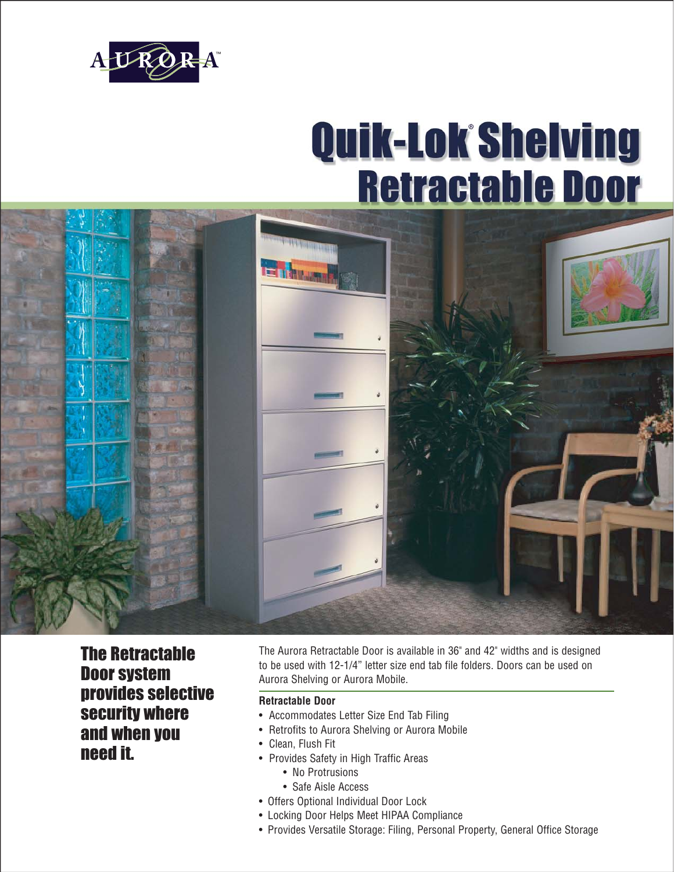

# **Quik-Lok Shelving Retractable Door**



The Retractable Door system provides selective security where and when you need it.

The Aurora Retractable Door is available in 36" and 42" widths and is designed to be used with 12-1/4" letter size end tab file folders. Doors can be used on Aurora Shelving or Aurora Mobile.

#### **Retractable Door**

- Accommodates Letter Size End Tab Filing
- Retrofits to Aurora Shelving or Aurora Mobile
- Clean, Flush Fit
- Provides Safety in High Traffic Areas
	- No Protrusions
	- Safe Aisle Access
- Offers Optional Individual Door Lock
- Locking Door Helps Meet HIPAA Compliance
- Provides Versatile Storage: Filing, Personal Property, General Office Storage